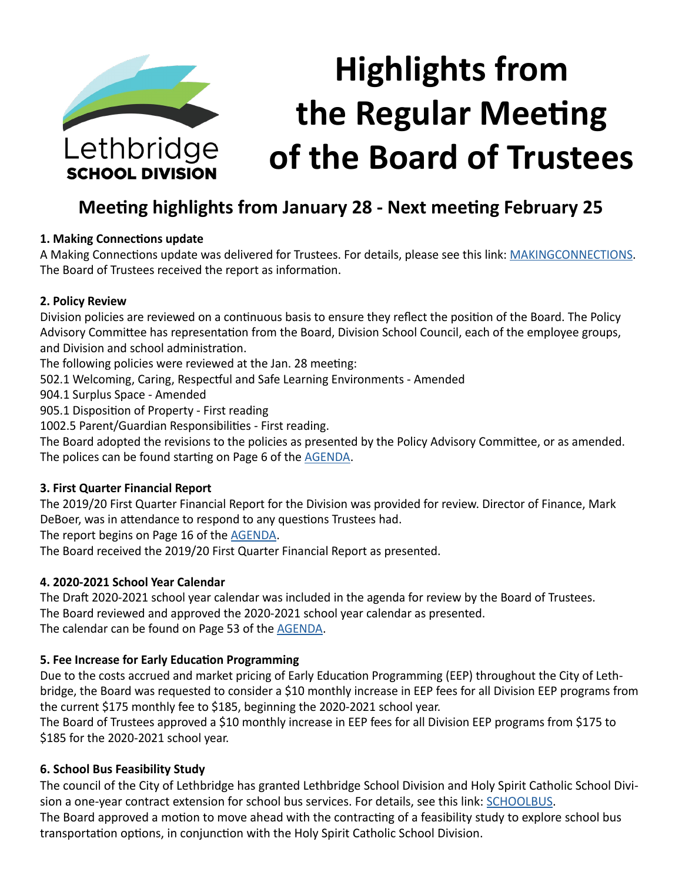

# **Meeting highlights from January 28 - Next meeting February 25**

#### **1. Making Connections update**

A Making Connections update was delivered for Trustees. For details, please see this link: [MAKINGCONNECTIONS](https://www.lethsd.ab.ca/our-district/news/post/making-connections-transitioning-to-new-model-as-result-of-funding-changes). The Board of Trustees received the report as information.

#### **2. Policy Review**

Division policies are reviewed on a continuous basis to ensure they reflect the position of the Board. The Policy Advisory Committee has representation from the Board, Division School Council, each of the employee groups, and Division and school administration.

The following policies were reviewed at the Jan. 28 meeting:

- 502.1 Welcoming, Caring, Respectful and Safe Learning Environments Amended
- 904.1 Surplus Space Amended

905.1 Disposition of Property - First reading

1002.5 Parent/Guardian Responsibilities - First reading.

The Board adopted the revisions to the policies as presented by the Policy Advisory Committee, or as amended. The polices can be found starting on Page 6 of the [AGENDA](https://www.lethsd.ab.ca/download/229832).

#### **3. First Quarter Financial Report**

The 2019/20 First Quarter Financial Report for the Division was provided for review. Director of Finance, Mark DeBoer, was in attendance to respond to any questions Trustees had.

The report begins on Page 16 of the [AGENDA](https://www.lethsd.ab.ca/download/229832).

The Board received the 2019/20 First Quarter Financial Report as presented.

#### **4. 2020-2021 School Year Calendar**

The Draft 2020-2021 school year calendar was included in the agenda for review by the Board of Trustees. The Board reviewed and approved the 2020-2021 school year calendar as presented. The calendar can be found on Page 53 of the [AGENDA](https://www.lethsd.ab.ca/download/229832).

#### **5. Fee Increase for Early Education Programming**

Due to the costs accrued and market pricing of Early Education Programming (EEP) throughout the City of Lethbridge, the Board was requested to consider a \$10 monthly increase in EEP fees for all Division EEP programs from the current \$175 monthly fee to \$185, beginning the 2020-2021 school year.

The Board of Trustees approved a \$10 monthly increase in EEP fees for all Division EEP programs from \$175 to \$185 for the 2020-2021 school year.

#### **6. School Bus Feasibility Study**

The council of the City of Lethbridge has granted Lethbridge School Division and Holy Spirit Catholic School Divi-sion a one-year contract extension for school bus services. For details, see this link: [SCHOOLBUS.](https://www.lethsd.ab.ca/our-district/news/post/school-divisions-granted-contract-extension-for-school-bus-services) The Board approved a motion to move ahead with the contracting of a feasibility study to explore school bus transportation options, in conjunction with the Holy Spirit Catholic School Division.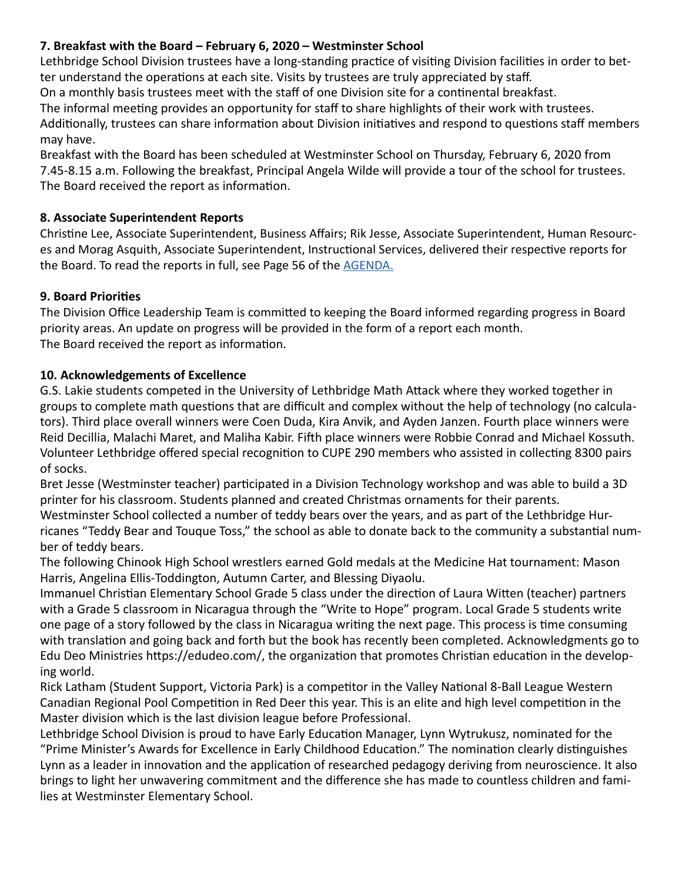## **7. Breakfast with the Board – February 6, 2020 – Westminster School**

Lethbridge School Division trustees have a long-standing practice of visiting Division facilities in order to better understand the operations at each site. Visits by trustees are truly appreciated by staff.

On a monthly basis trustees meet with the staff of one Division site for a continental breakfast.

The informal meeting provides an opportunity for staff to share highlights of their work with trustees. Additionally, trustees can share information about Division initiatives and respond to questions staff members may have.

Breakfast with the Board has been scheduled at Westminster School on Thursday, February 6, 2020 from 7.45-8.15 a.m. Following the breakfast, Principal Angela Wilde will provide a tour of the school for trustees. The Board received the report as information.

## **8. Associate Superintendent Reports**

Christine Lee, Associate Superintendent, Business Affairs; Rik Jesse, Associate Superintendent, Human Resources and Morag Asquith, Associate Superintendent, Instructional Services, delivered their respective reports for the Board. To read the reports in full, see Page 56 of the [AGENDA](https://www.lethsd.ab.ca/download/229832).

## **9. Board Priorities**

The Division Office Leadership Team is committed to keeping the Board informed regarding progress in Board priority areas. An update on progress will be provided in the form of a report each month. The Board received the report as information.

#### **10. Acknowledgements of Excellence**

G.S. Lakie students competed in the University of Lethbridge Math Attack where they worked together in groups to complete math questions that are difficult and complex without the help of technology (no calculators). Third place overall winners were Coen Duda, Kira Anvik, and Ayden Janzen. Fourth place winners were Reid Decillia, Malachi Maret, and Maliha Kabir. Fifth place winners were Robbie Conrad and Michael Kossuth. Volunteer Lethbridge offered special recognition to CUPE 290 members who assisted in collecting 8300 pairs of socks.

Bret Jesse (Westminster teacher) participated in a Division Technology workshop and was able to build a 3D printer for his classroom. Students planned and created Christmas ornaments for their parents.

Westminster School collected a number of teddy bears over the years, and as part of the Lethbridge Hurricanes "Teddy Bear and Touque Toss," the school as able to donate back to the community a substantial number of teddy bears.

The following Chinook High School wrestlers earned Gold medals at the Medicine Hat tournament: Mason Harris, Angelina Ellis-Toddington, Autumn Carter, and Blessing Diyaolu.

Immanuel Christian Elementary School Grade 5 class under the direction of Laura Witten (teacher) partners with a Grade 5 classroom in Nicaragua through the "Write to Hope" program. Local Grade 5 students write one page of a story followed by the class in Nicaragua writing the next page. This process is time consuming with translation and going back and forth but the book has recently been completed. Acknowledgments go to Edu Deo Ministries https://edudeo.com/, the organization that promotes Christian education in the developing world.

Rick Latham (Student Support, Victoria Park) is a competitor in the Valley National 8-Ball League Western Canadian Regional Pool Competition in Red Deer this year. This is an elite and high level competition in the Master division which is the last division league before Professional.

Lethbridge School Division is proud to have Early Education Manager, Lynn Wytrukusz, nominated for the "Prime Minister's Awards for Excellence in Early Childhood Education." The nomination clearly distinguishes Lynn as a leader in innovation and the application of researched pedagogy deriving from neuroscience. It also brings to light her unwavering commitment and the difference she has made to countless children and families at Westminster Elementary School.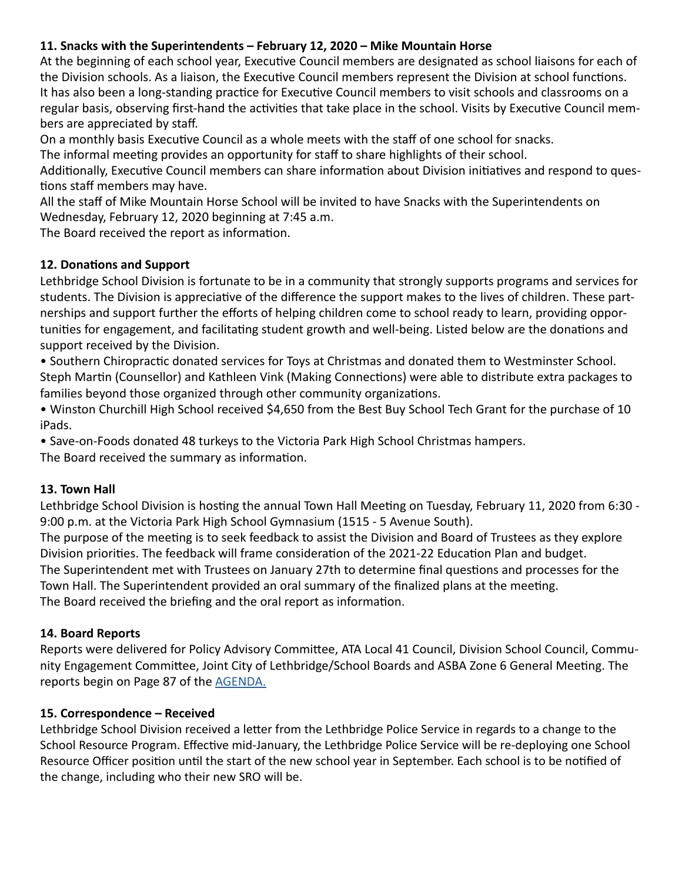# **11. Snacks with the Superintendents – February 12, 2020 – Mike Mountain Horse**

At the beginning of each school year, Executive Council members are designated as school liaisons for each of the Division schools. As a liaison, the Executive Council members represent the Division at school functions. It has also been a long-standing practice for Executive Council members to visit schools and classrooms on a regular basis, observing first-hand the activities that take place in the school. Visits by Executive Council members are appreciated by staff.

On a monthly basis Executive Council as a whole meets with the staff of one school for snacks.

The informal meeting provides an opportunity for staff to share highlights of their school.

Additionally, Executive Council members can share information about Division initiatives and respond to questions staff members may have.

All the staff of Mike Mountain Horse School will be invited to have Snacks with the Superintendents on Wednesday, February 12, 2020 beginning at 7:45 a.m.

The Board received the report as information.

## **12. Donations and Support**

Lethbridge School Division is fortunate to be in a community that strongly supports programs and services for students. The Division is appreciative of the difference the support makes to the lives of children. These partnerships and support further the efforts of helping children come to school ready to learn, providing opportunities for engagement, and facilitating student growth and well-being. Listed below are the donations and support received by the Division.

• Southern Chiropractic donated services for Toys at Christmas and donated them to Westminster School. Steph Martin (Counsellor) and Kathleen Vink (Making Connections) were able to distribute extra packages to families beyond those organized through other community organizations.

• Winston Churchill High School received \$4,650 from the Best Buy School Tech Grant for the purchase of 10 iPads.

• Save-on-Foods donated 48 turkeys to the Victoria Park High School Christmas hampers. The Board received the summary as information.

#### **13. Town Hall**

Lethbridge School Division is hosting the annual Town Hall Meeting on Tuesday, February 11, 2020 from 6:30 - 9:00 p.m. at the Victoria Park High School Gymnasium (1515 - 5 Avenue South).

The purpose of the meeting is to seek feedback to assist the Division and Board of Trustees as they explore Division priorities. The feedback will frame consideration of the 2021-22 Education Plan and budget. The Superintendent met with Trustees on January 27th to determine final questions and processes for the Town Hall. The Superintendent provided an oral summary of the finalized plans at the meeting. The Board received the briefing and the oral report as information.

#### **14. Board Reports**

Reports were delivered for Policy Advisory Committee, ATA Local 41 Council, Division School Council, Community Engagement Committee, Joint City of Lethbridge/School Boards and ASBA Zone 6 General Meeting. The reports begin on Page 87 of the [AGENDA.](https://www.lethsd.ab.ca/download/229832)

#### **15. Correspondence – Received**

Lethbridge School Division received a letter from the Lethbridge Police Service in regards to a change to the School Resource Program. Effective mid-January, the Lethbridge Police Service will be re-deploying one School Resource Officer position until the start of the new school year in September. Each school is to be notified of the change, including who their new SRO will be.